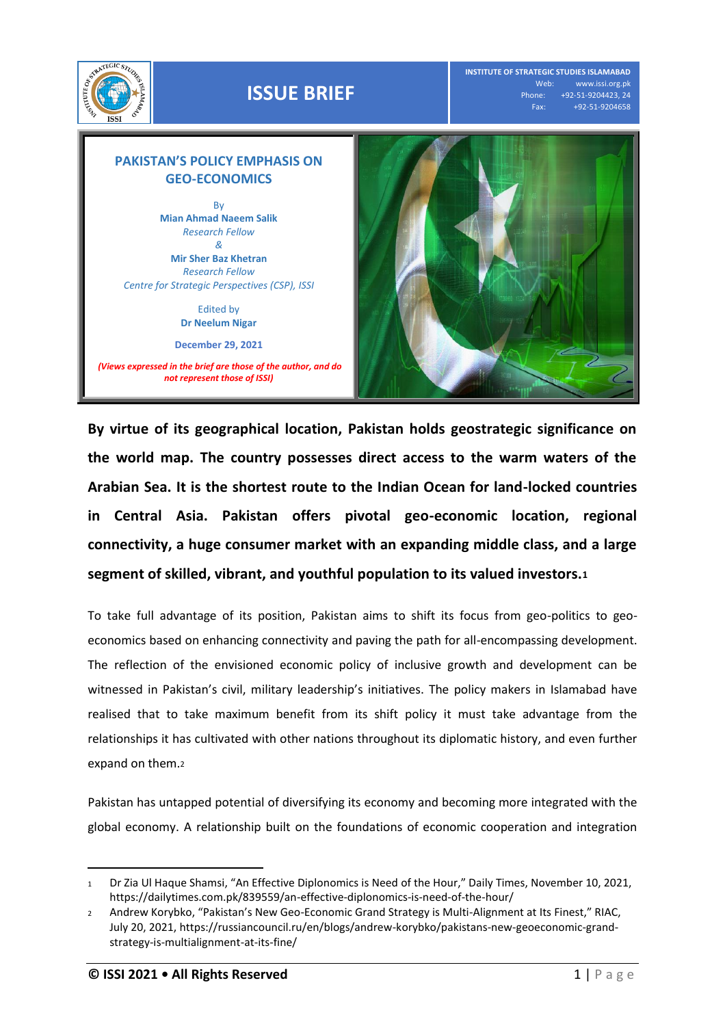

**INSTITUTE OF STRATEGIC STUDIES ISLAMABAD** Web: www.issi.org.pk<br>Phone: +92-51-9204423, 24 none: +92-51-9204423, 24<br>Fax: +92-51-9204658 Fax: +92-51-9204658

## **PAKISTAN'S POLICY EMPHASIS ON GEO-ECONOMICS**

By **Mian Ahmad Naeem Salik** *Research Fellow &*  **Mir Sher Baz Khetran** *Research Fellow Centre for Strategic Perspectives (CSP), ISSI*

> Edited by **Dr Neelum Nigar**

**December 29, 2021**

*(Views expressed in the brief are those of the author, and do not represent those of ISSI)*



**By virtue of its geographical location, Pakistan holds geostrategic significance on the world map. The country possesses direct access to the warm waters of the Arabian Sea. It is the shortest route to the Indian Ocean for land-locked countries in Central Asia. Pakistan offers pivotal geo-economic location, regional connectivity, a huge consumer market with an expanding middle class, and a large segment of skilled, vibrant, and youthful population to its valued investors.<sup>1</sup>**

To take full advantage of its position, Pakistan aims to shift its focus from geo-politics to geoeconomics based on enhancing connectivity and paving the path for all-encompassing development. The reflection of the envisioned economic policy of inclusive growth and development can be witnessed in Pakistan's civil, military leadership's initiatives. The policy makers in Islamabad have realised that to take maximum benefit from its shift policy it must take advantage from the relationships it has cultivated with other nations throughout its diplomatic history, and even further expand on them.<sup>2</sup>

Pakistan has untapped potential of diversifying its economy and becoming more integrated with the global economy. A relationship built on the foundations of economic cooperation and integration

l

<sup>1</sup> Dr Zia Ul Haque Shamsi, "An Effective Diplonomics is Need of the Hour," Daily Times, November 10, 2021, <https://dailytimes.com.pk/839559/an-effective-diplonomics-is-need-of-the-hour/>

<sup>2</sup> Andrew Korybko, "Pakistan's New Geo-Economic Grand Strategy is Multi-Alignment at Its Finest," RIAC, July 20, 2021[, https://russiancouncil.ru/en/blogs/andrew-korybko/pakistans-new-geoeconomic-grand](https://russiancouncil.ru/en/blogs/andrew-korybko/pakistans-new-geoeconomic-grand-strategy-is-multialignment-at-its-fine/)[strategy-is-multialignment-at-its-fine/](https://russiancouncil.ru/en/blogs/andrew-korybko/pakistans-new-geoeconomic-grand-strategy-is-multialignment-at-its-fine/)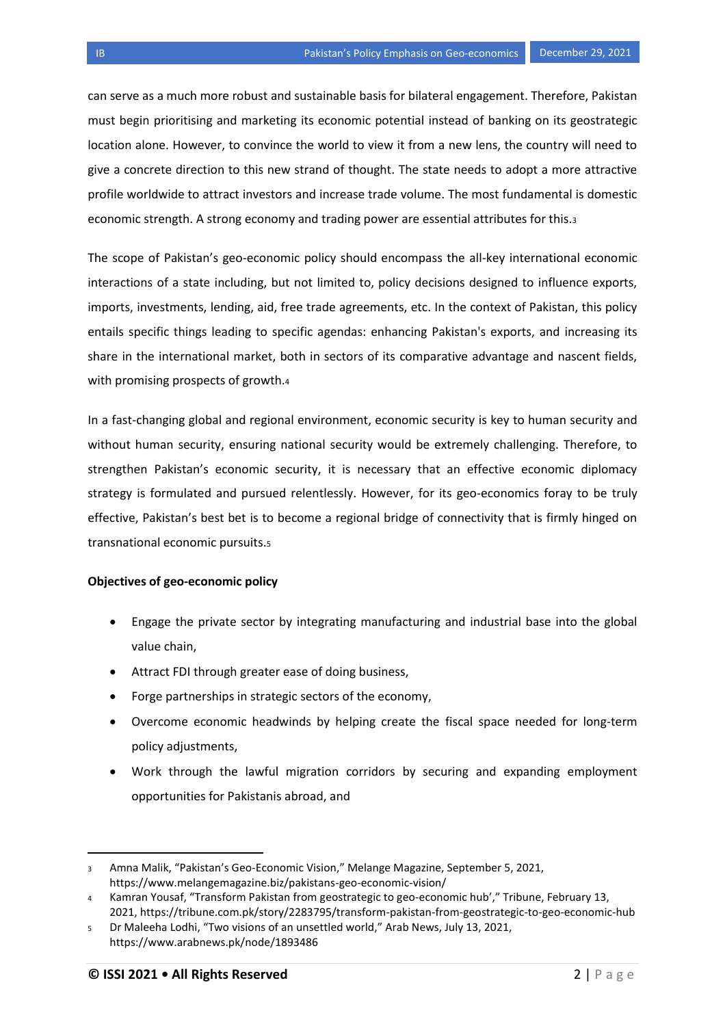can serve as a much more robust and sustainable basis for bilateral engagement. Therefore, Pakistan must begin prioritising and marketing its economic potential instead of banking on its geostrategic location alone. However, to convince the world to view it from a new lens, the country will need to give a concrete direction to this new strand of thought. The state needs to adopt a more attractive profile worldwide to attract investors and increase trade volume. The most fundamental is domestic economic strength. A strong economy and trading power are essential attributes for this.<sup>3</sup>

The scope of Pakistan's geo-economic policy should encompass the all-key international economic interactions of a state including, but not limited to, policy decisions designed to influence exports, imports, investments, lending, aid, free trade agreements, etc. In the context of Pakistan, this policy entails specific things leading to specific agendas: enhancing Pakistan's exports, and increasing its share in the international market, both in sectors of its comparative advantage and nascent fields, with promising prospects of growth.<sup>4</sup>

In a fast-changing global and regional environment, economic security is key to human security and without human security, ensuring national security would be extremely challenging. Therefore, to strengthen Pakistan's economic security, it is necessary that an effective economic diplomacy strategy is formulated and pursued relentlessly. However, for its geo-economics foray to be truly effective, Pakistan's best bet is to become a regional bridge of connectivity that is firmly hinged on transnational economic pursuits.<sup>5</sup>

## **Objectives of geo-economic policy**

- Engage the private sector by integrating manufacturing and industrial base into the global value chain,
- Attract FDI through greater ease of doing business,
- Forge partnerships in strategic sectors of the economy,
- Overcome economic headwinds by helping create the fiscal space needed for long-term policy adjustments,
- Work through the lawful migration corridors by securing and expanding employment opportunities for Pakistanis abroad, and

 $\overline{a}$ 

<sup>3</sup> Amna Malik, "Pakistan's Geo-Economic Vision," Melange Magazine, September 5, 2021, <https://www.melangemagazine.biz/pakistans-geo-economic-vision/>

<sup>4</sup> Kamran Yousaf, "Transform Pakistan from geostrategic to geo-economic hub'," Tribune, February 13, 2021,<https://tribune.com.pk/story/2283795/transform-pakistan-from-geostrategic-to-geo-economic-hub>

<sup>5</sup> Dr Maleeha Lodhi, "Two visions of an unsettled world," Arab News, July 13, 2021, <https://www.arabnews.pk/node/1893486>